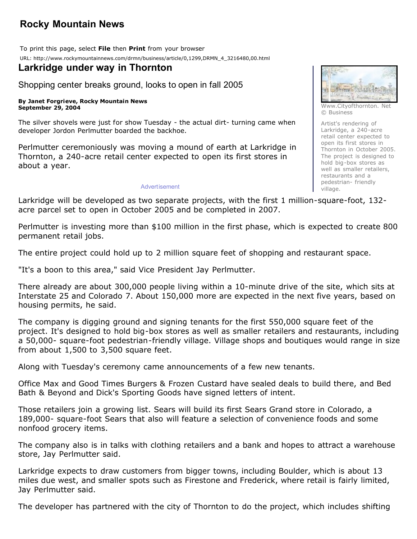# **Rocky Mountain News**

To print this page, select **File** then **Print** from your browser URL: http://www.rockymountainnews.com/drmn/business/article/0,1299,DRMN\_4\_3216480,00.html

## **Larkridge under way in Thornton**

Shopping center breaks ground, looks to open in fall 2005

#### **By Janet Forgrieve, Rocky Mountain News September 29, 2004**

The silver shovels were just for show Tuesday - the actual dirt- turning came when developer Jordon Perlmutter boarded the backhoe.

Perlmutter ceremoniously was moving a mound of earth at Larkridge in Thornton, a 240-acre retail center expected to open its first stores in about a year.

#### Advertisement



Www.Cityofthornton. Net © Business

Artist's rendering of Larkridge, a 240-acre retail center expected to open its first stores in Thornton in October 2005. The project is designed to hold big-box stores as well as smaller retailers, restaurants and a pedestrian- friendly village.

Larkridge will be developed as two separate projects, with the first 1 million-square-foot, 132 acre parcel set to open in October 2005 and be completed in 2007.

Perlmutter is investing more than \$100 million in the first phase, which is expected to create 800 permanent retail jobs.

The entire project could hold up to 2 million square feet of shopping and restaurant space.

"It's a boon to this area," said Vice President Jay Perlmutter.

There already are about 300,000 people living within a 10-minute drive of the site, which sits at Interstate 25 and Colorado 7. About 150,000 more are expected in the next five years, based on housing permits, he said.

The company is digging ground and signing tenants for the first 550,000 square feet of the project. It's designed to hold big-box stores as well as smaller retailers and restaurants, including a 50,000- square-foot pedestrian-friendly village. Village shops and boutiques would range in size from about 1,500 to 3,500 square feet.

Along with Tuesday's ceremony came announcements of a few new tenants.

Office Max and Good Times Burgers & Frozen Custard have sealed deals to build there, and Bed Bath & Beyond and Dick's Sporting Goods have signed letters of intent.

Those retailers join a growing list. Sears will build its first Sears Grand store in Colorado, a 189,000- square-foot Sears that also will feature a selection of convenience foods and some nonfood grocery items.

The company also is in talks with clothing retailers and a bank and hopes to attract a warehouse store, Jay Perlmutter said.

Larkridge expects to draw customers from bigger towns, including Boulder, which is about 13 miles due west, and smaller spots such as Firestone and Frederick, where retail is fairly limited, Jay Perlmutter said.

The developer has partnered with the city of Thornton to do the project, which includes shifting